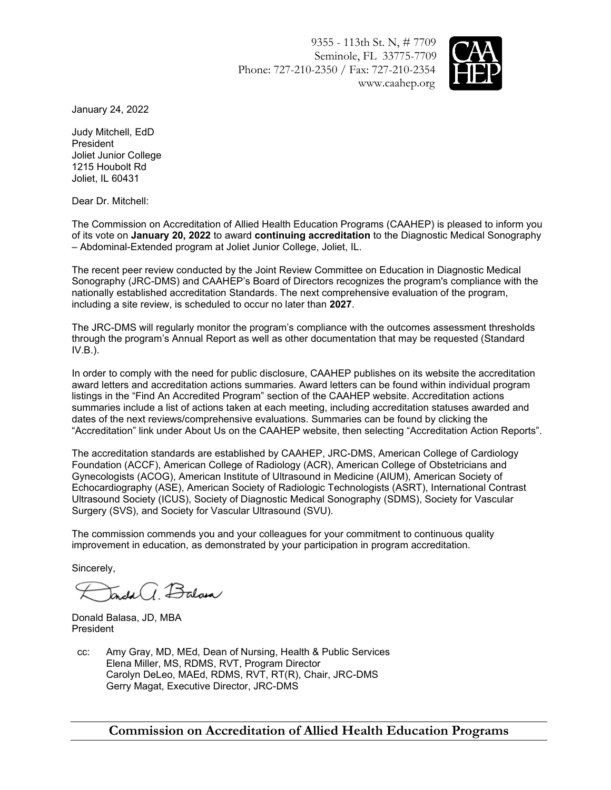9355 - 113th St. N, # 7709 Seminole, FL 33775-7709 Phone: 727-210-2350 / Fax: 727-210-2354 www.caahep.org



January 24, 2022

Judy Mitchell, EdD President Joliet Junior College 1215 Houbolt Rd Joliet, IL 60431

Dear Dr. Mitchell:

The Commission on Accreditation of Allied Health Education Programs (CAAHEP) is pleased to inform you of its vote on **January 20, 2022** to award **continuing accreditation** to the Diagnostic Medical Sonography – Abdominal-Extended program at Joliet Junior College, Joliet, IL.

The recent peer review conducted by the Joint Review Committee on Education in Diagnostic Medical Sonography (JRC-DMS) and CAAHEP's Board of Directors recognizes the program's compliance with the nationally established accreditation Standards. The next comprehensive evaluation of the program, including a site review, is scheduled to occur no later than **2027**.

The JRC-DMS will regularly monitor the program's compliance with the outcomes assessment thresholds through the program's Annual Report as well as other documentation that may be requested (Standard IV.B.).

In order to comply with the need for public disclosure, CAAHEP publishes on its website the accreditation award letters and accreditation actions summaries. Award letters can be found within individual program listings in the "Find An Accredited Program" section of the CAAHEP website. Accreditation actions summaries include a list of actions taken at each meeting, including accreditation statuses awarded and dates of the next reviews/comprehensive evaluations. Summaries can be found by clicking the "Accreditation" link under About Us on the CAAHEP website, then selecting "Accreditation Action Reports".

The accreditation standards are established by CAAHEP, JRC-DMS, American College of Cardiology Foundation (ACCF), American College of Radiology (ACR), American College of Obstetricians and Gynecologists (ACOG), American Institute of Ultrasound in Medicine (AIUM), American Society of Echocardiography (ASE), American Society of Radiologic Technologists (ASRT), International Contrast Ultrasound Society (ICUS), Society of Diagnostic Medical Sonography (SDMS), Society for Vascular Surgery (SVS), and Society for Vascular Ultrasound (SVU).

The commission commends you and your colleagues for your commitment to continuous quality improvement in education, as demonstrated by your participation in program accreditation.

Sincerely,

 $\overline{a}$ dal $\overline{a}$ ,  $\overline{B}$ alam

Donald Balasa, JD, MBA President

cc: Amy Gray, MD, MEd, Dean of Nursing, Health & Public Services Elena Miller, MS, RDMS, RVT, Program Director Carolyn DeLeo, MAEd, RDMS, RVT, RT(R), Chair, JRC-DMS Gerry Magat, Executive Director, JRC-DMS